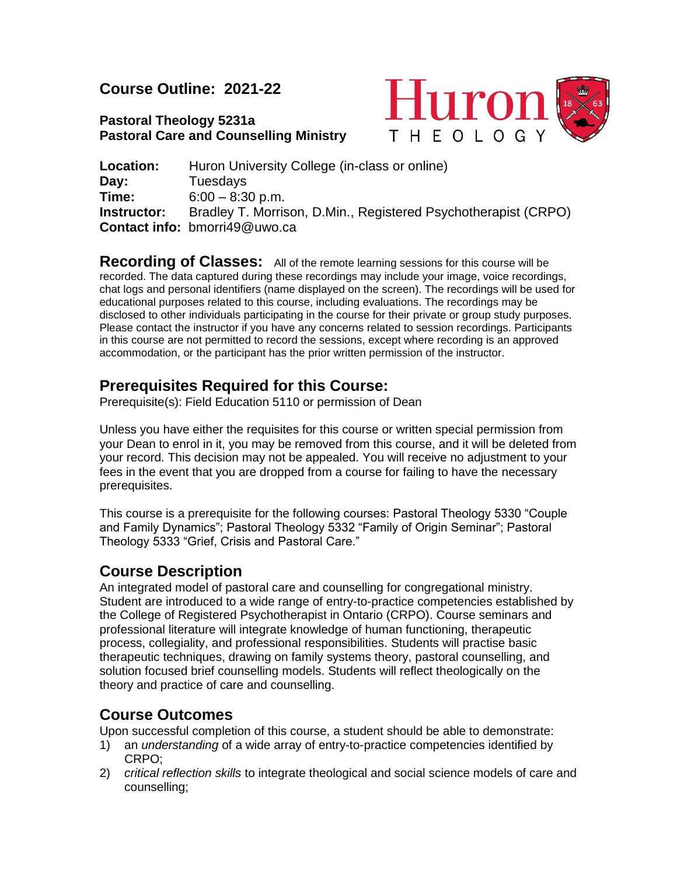# **Course Outline: 2021-22**

# **Pastoral Theology 5231a Pastoral Care and Counselling Ministry**



**Location:** Huron University College (in-class or online) **Day:** Tuesdays **Time:** 6:00 – 8:30 p.m. **Instructor:** Bradley T. Morrison, D.Min., Registered Psychotherapist (CRPO) **Contact info:** bmorri49@uwo.ca

**Recording of Classes:** All of the remote learning sessions for this course will be recorded. The data captured during these recordings may include your image, voice recordings, chat logs and personal identifiers (name displayed on the screen). The recordings will be used for educational purposes related to this course, including evaluations. The recordings may be disclosed to other individuals participating in the course for their private or group study purposes. Please contact the instructor if you have any concerns related to session recordings. Participants in this course are not permitted to record the sessions, except where recording is an approved accommodation, or the participant has the prior written permission of the instructor.

# **Prerequisites Required for this Course:**

Prerequisite(s): Field Education 5110 or permission of Dean

Unless you have either the requisites for this course or written special permission from your Dean to enrol in it, you may be removed from this course, and it will be deleted from your record. This decision may not be appealed. You will receive no adjustment to your fees in the event that you are dropped from a course for failing to have the necessary prerequisites.

This course is a prerequisite for the following courses: Pastoral Theology 5330 "Couple and Family Dynamics"; Pastoral Theology 5332 "Family of Origin Seminar"; Pastoral Theology 5333 "Grief, Crisis and Pastoral Care."

# **Course Description**

An integrated model of pastoral care and counselling for congregational ministry. Student are introduced to a wide range of entry-to-practice competencies established by the College of Registered Psychotherapist in Ontario (CRPO). Course seminars and professional literature will integrate knowledge of human functioning, therapeutic process, collegiality, and professional responsibilities. Students will practise basic therapeutic techniques, drawing on family systems theory, pastoral counselling, and solution focused brief counselling models. Students will reflect theologically on the theory and practice of care and counselling.

# **Course Outcomes**

Upon successful completion of this course, a student should be able to demonstrate:

- 1) an *understanding* of a wide array of entry-to-practice competencies identified by CRPO;
- 2) *critical reflection skills* to integrate theological and social science models of care and counselling;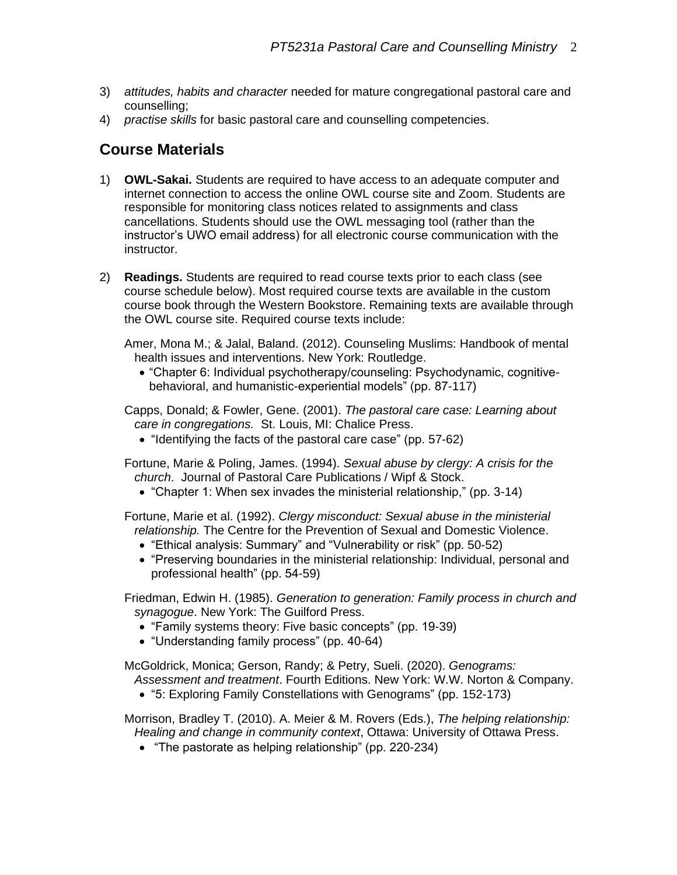- 3) *attitudes, habits and character* needed for mature congregational pastoral care and counselling;
- 4) *practise skills* for basic pastoral care and counselling competencies.

# **Course Materials**

- 1) **OWL-Sakai.** Students are required to have access to an adequate computer and internet connection to access the online OWL course site and Zoom. Students are responsible for monitoring class notices related to assignments and class cancellations. Students should use the OWL messaging tool (rather than the instructor's UWO email address) for all electronic course communication with the instructor.
- 2) **Readings.** Students are required to read course texts prior to each class (see course schedule below). Most required course texts are available in the custom course book through the Western Bookstore. Remaining texts are available through the OWL course site. Required course texts include:

Amer, Mona M.; & Jalal, Baland. (2012). Counseling Muslims: Handbook of mental health issues and interventions. New York: Routledge.

• "Chapter 6: Individual psychotherapy/counseling: Psychodynamic, cognitivebehavioral, and humanistic-experiential models" (pp. 87-117)

Capps, Donald; & Fowler, Gene. (2001). *The pastoral care case: Learning about care in congregations.* St. Louis, MI: Chalice Press.

- "Identifying the facts of the pastoral care case" (pp. 57-62)
- Fortune, Marie & Poling, James. (1994). *Sexual abuse by clergy: A crisis for the church*. Journal of Pastoral Care Publications / Wipf & Stock.
	- "Chapter 1: When sex invades the ministerial relationship," (pp. 3-14)

Fortune, Marie et al. (1992). *Clergy misconduct: Sexual abuse in the ministerial relationship.* The Centre for the Prevention of Sexual and Domestic Violence.

- "Ethical analysis: Summary" and "Vulnerability or risk" (pp. 50-52)
- "Preserving boundaries in the ministerial relationship: Individual, personal and professional health" (pp. 54-59)

Friedman, Edwin H. (1985). *Generation to generation: Family process in church and synagogue*. New York: The Guilford Press.

- "Family systems theory: Five basic concepts" (pp. 19-39)
- "Understanding family process" (pp. 40-64)

McGoldrick, Monica; Gerson, Randy; & Petry, Sueli. (2020). *Genograms:* 

*Assessment and treatment*. Fourth Editions. New York: W.W. Norton & Company.

• "5: Exploring Family Constellations with Genograms" (pp. 152-173)

Morrison, Bradley T. (2010). A. Meier & M. Rovers (Eds.), *The helping relationship: Healing and change in community context*, Ottawa: University of Ottawa Press.

• "The pastorate as helping relationship" (pp. 220-234)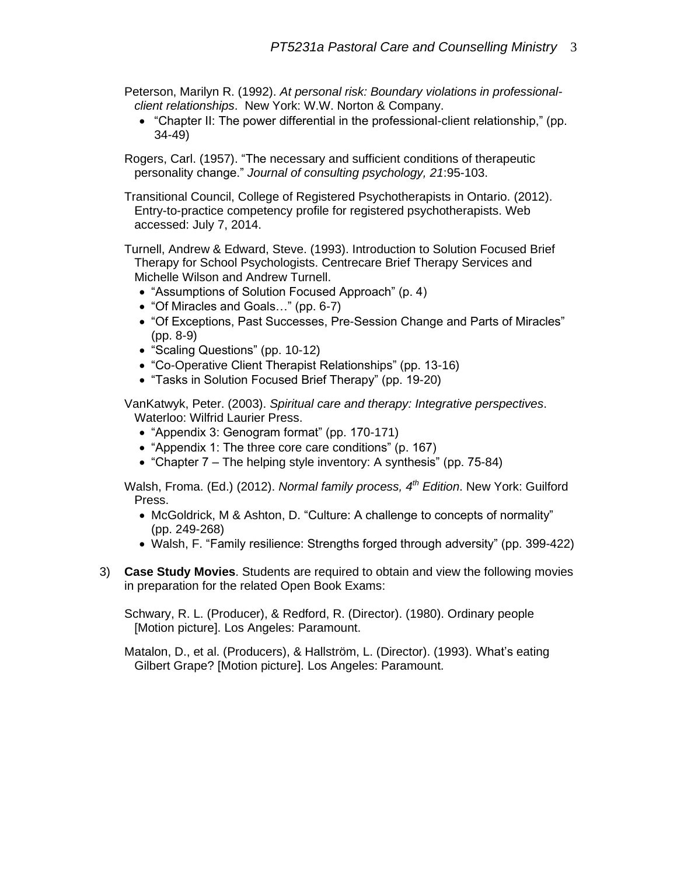- Peterson, Marilyn R. (1992). *At personal risk: Boundary violations in professionalclient relationships*. New York: W.W. Norton & Company.
	- "Chapter II: The power differential in the professional-client relationship," (pp. 34-49)

Rogers, Carl. (1957). "The necessary and sufficient conditions of therapeutic personality change." *Journal of consulting psychology, 21*:95-103.

Transitional Council, College of Registered Psychotherapists in Ontario. (2012). Entry-to-practice competency profile for registered psychotherapists. Web accessed: July 7, 2014.

Turnell, Andrew & Edward, Steve. (1993). Introduction to Solution Focused Brief Therapy for School Psychologists. Centrecare Brief Therapy Services and Michelle Wilson and Andrew Turnell.

- "Assumptions of Solution Focused Approach" (p. 4)
- "Of Miracles and Goals…" (pp. 6-7)
- "Of Exceptions, Past Successes, Pre-Session Change and Parts of Miracles" (pp. 8-9)
- "Scaling Questions" (pp. 10-12)
- "Co-Operative Client Therapist Relationships" (pp. 13-16)
- "Tasks in Solution Focused Brief Therapy" (pp. 19-20)

VanKatwyk, Peter. (2003). *Spiritual care and therapy: Integrative perspectives*. Waterloo: Wilfrid Laurier Press.

- "Appendix 3: Genogram format" (pp. 170-171)
- "Appendix 1: The three core care conditions" (p. 167)
- "Chapter 7 The helping style inventory: A synthesis" (pp. 75-84)

Walsh, Froma. (Ed.) (2012). *Normal family process, 4th Edition*. New York: Guilford Press.

- McGoldrick, M & Ashton, D. "Culture: A challenge to concepts of normality" (pp. 249-268)
- Walsh, F. "Family resilience: Strengths forged through adversity" (pp. 399-422)
- 3) **Case Study Movies**. Students are required to obtain and view the following movies in preparation for the related Open Book Exams:

Schwary, R. L. (Producer), & Redford, R. (Director). (1980). Ordinary people [Motion picture]. Los Angeles: Paramount.

Matalon, D., et al. (Producers), & Hallström, L. (Director). (1993). What's eating Gilbert Grape? [Motion picture]. Los Angeles: Paramount.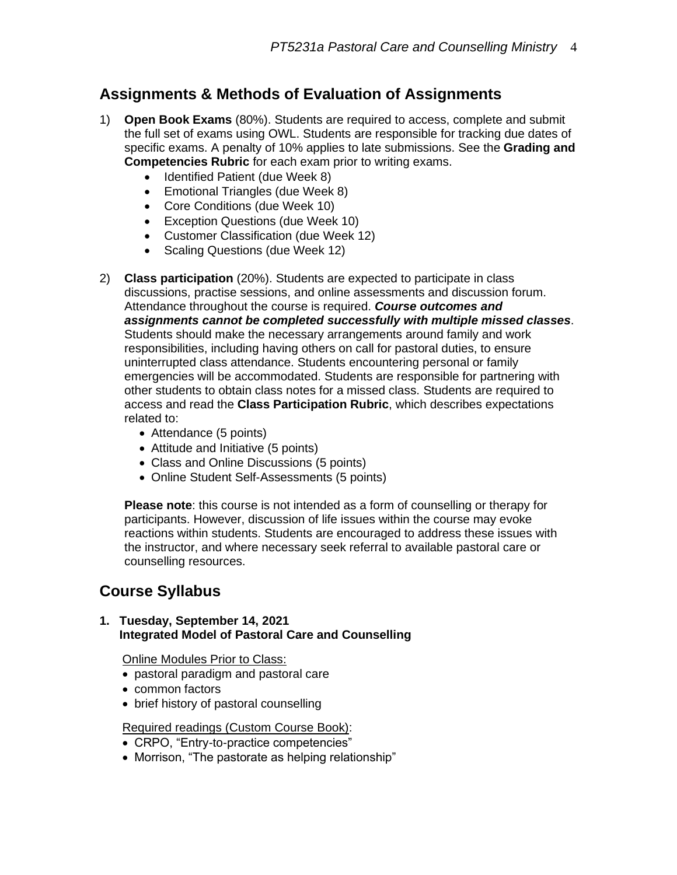# **Assignments & Methods of Evaluation of Assignments**

- 1) **Open Book Exams** (80%). Students are required to access, complete and submit the full set of exams using OWL. Students are responsible for tracking due dates of specific exams. A penalty of 10% applies to late submissions. See the **Grading and Competencies Rubric** for each exam prior to writing exams.
	- Identified Patient (due Week 8)
	- Emotional Triangles (due Week 8)
	- Core Conditions (due Week 10)
	- Exception Questions (due Week 10)
	- Customer Classification (due Week 12)
	- Scaling Questions (due Week 12)
- 2) **Class participation** (20%). Students are expected to participate in class discussions, practise sessions, and online assessments and discussion forum. Attendance throughout the course is required. *Course outcomes and assignments cannot be completed successfully with multiple missed classes*. Students should make the necessary arrangements around family and work responsibilities, including having others on call for pastoral duties, to ensure uninterrupted class attendance. Students encountering personal or family emergencies will be accommodated. Students are responsible for partnering with other students to obtain class notes for a missed class. Students are required to access and read the **Class Participation Rubric**, which describes expectations related to:
	- Attendance (5 points)
	- Attitude and Initiative (5 points)
	- Class and Online Discussions (5 points)
	- Online Student Self-Assessments (5 points)

**Please note**: this course is not intended as a form of counselling or therapy for participants. However, discussion of life issues within the course may evoke reactions within students. Students are encouraged to address these issues with the instructor, and where necessary seek referral to available pastoral care or counselling resources.

# **Course Syllabus**

#### **1. Tuesday, September 14, 2021 Integrated Model of Pastoral Care and Counselling**

Online Modules Prior to Class:

- pastoral paradigm and pastoral care
- common factors
- brief history of pastoral counselling

# Required readings (Custom Course Book):

- CRPO, "Entry-to-practice competencies"
- Morrison, "The pastorate as helping relationship"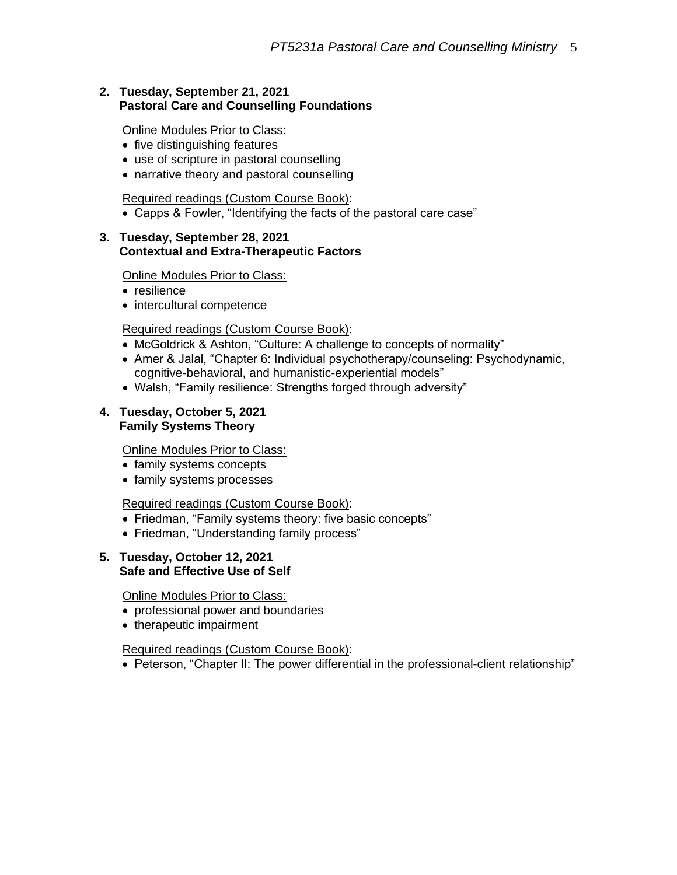# **2. Tuesday, September 21, 2021 Pastoral Care and Counselling Foundations**

Online Modules Prior to Class:

- five distinguishing features
- use of scripture in pastoral counselling
- narrative theory and pastoral counselling

Required readings (Custom Course Book):

• Capps & Fowler, "Identifying the facts of the pastoral care case"

### **3. Tuesday, September 28, 2021 Contextual and Extra-Therapeutic Factors**

Online Modules Prior to Class:

- resilience
- intercultural competence

# Required readings (Custom Course Book):

- McGoldrick & Ashton, "Culture: A challenge to concepts of normality"
- Amer & Jalal, "Chapter 6: Individual psychotherapy/counseling: Psychodynamic, cognitive-behavioral, and humanistic-experiential models"
- Walsh, "Family resilience: Strengths forged through adversity"

### **4. Tuesday, October 5, 2021 Family Systems Theory**

**Online Modules Prior to Class:** 

- family systems concepts
- family systems processes

# Required readings (Custom Course Book):

- Friedman, "Family systems theory: five basic concepts"
- Friedman, "Understanding family process"

### **5. Tuesday, October 12, 2021 Safe and Effective Use of Self**

Online Modules Prior to Class:

- professional power and boundaries
- therapeutic impairment

# Required readings (Custom Course Book):

• Peterson, "Chapter II: The power differential in the professional-client relationship"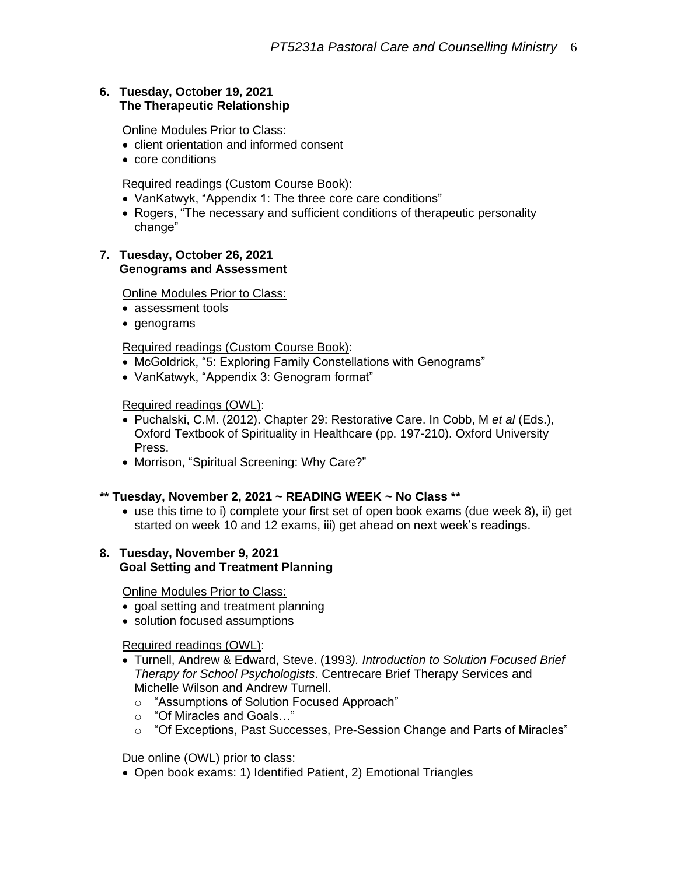# **6. Tuesday, October 19, 2021 The Therapeutic Relationship**

Online Modules Prior to Class:

- client orientation and informed consent
- core conditions

#### Required readings (Custom Course Book):

- VanKatwyk, "Appendix 1: The three core care conditions"
- Rogers, "The necessary and sufficient conditions of therapeutic personality change"

#### **7. Tuesday, October 26, 2021 Genograms and Assessment**

# Online Modules Prior to Class:

- assessment tools
- genograms

### Required readings (Custom Course Book):

- McGoldrick, "5: Exploring Family Constellations with Genograms"
- VanKatwyk, "Appendix 3: Genogram format"

### Required readings (OWL):

- Puchalski, C.M. (2012). Chapter 29: Restorative Care. In Cobb, M *et al* (Eds.), Oxford Textbook of Spirituality in Healthcare (pp. 197-210). Oxford University Press.
- Morrison, "Spiritual Screening: Why Care?"

# **\*\* Tuesday, November 2, 2021 ~ READING WEEK ~ No Class \*\***

• use this time to i) complete your first set of open book exams (due week 8), ii) get started on week 10 and 12 exams, iii) get ahead on next week's readings.

# **8. Tuesday, November 9, 2021 Goal Setting and Treatment Planning**

Online Modules Prior to Class:

- goal setting and treatment planning
- solution focused assumptions

# Required readings (OWL):

- Turnell, Andrew & Edward, Steve. (1993*). Introduction to Solution Focused Brief Therapy for School Psychologists*. Centrecare Brief Therapy Services and Michelle Wilson and Andrew Turnell.
	- o "Assumptions of Solution Focused Approach"
	- o "Of Miracles and Goals…"
	- o "Of Exceptions, Past Successes, Pre-Session Change and Parts of Miracles"

# Due online (OWL) prior to class:

• Open book exams: 1) Identified Patient, 2) Emotional Triangles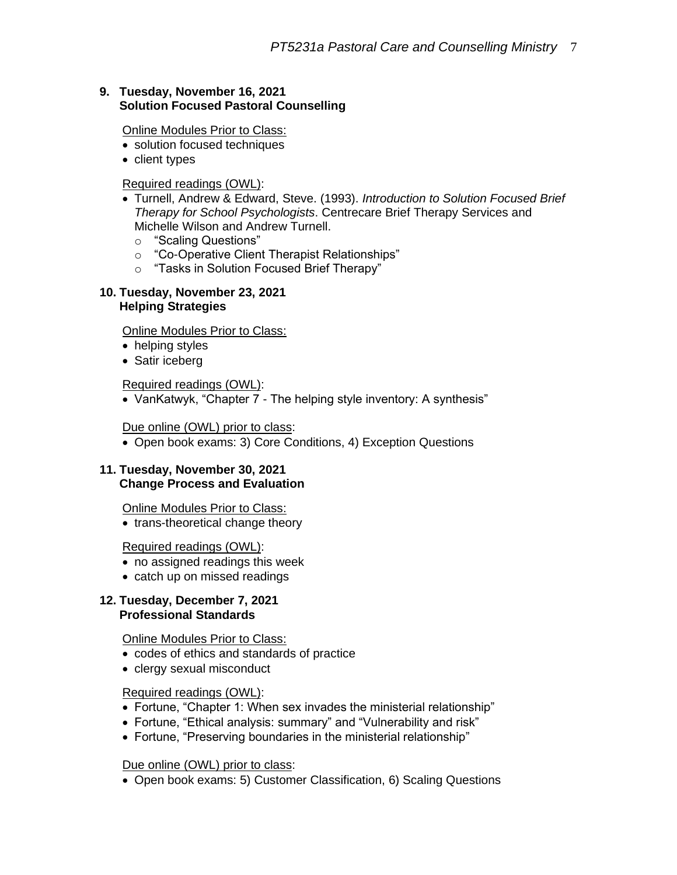# **9. Tuesday, November 16, 2021 Solution Focused Pastoral Counselling**

Online Modules Prior to Class:

- solution focused techniques
- client types

### Required readings (OWL):

- Turnell, Andrew & Edward, Steve. (1993). *Introduction to Solution Focused Brief Therapy for School Psychologists*. Centrecare Brief Therapy Services and Michelle Wilson and Andrew Turnell.
	- o "Scaling Questions"
	- o "Co-Operative Client Therapist Relationships"
	- o "Tasks in Solution Focused Brief Therapy"

#### **10. Tuesday, November 23, 2021 Helping Strategies**

Online Modules Prior to Class:

- helping styles
- Satir iceberg

Required readings (OWL):

• VanKatwyk, "Chapter 7 - The helping style inventory: A synthesis"

### Due online (OWL) prior to class:

• Open book exams: 3) Core Conditions, 4) Exception Questions

#### **11. Tuesday, November 30, 2021 Change Process and Evaluation**

Online Modules Prior to Class:

• trans-theoretical change theory

#### Required readings (OWL):

- no assigned readings this week
- catch up on missed readings

#### **12. Tuesday, December 7, 2021 Professional Standards**

#### Online Modules Prior to Class:

- codes of ethics and standards of practice
- clergy sexual misconduct

# Required readings (OWL):

- Fortune, "Chapter 1: When sex invades the ministerial relationship"
- Fortune, "Ethical analysis: summary" and "Vulnerability and risk"
- Fortune, "Preserving boundaries in the ministerial relationship"

#### Due online (OWL) prior to class:

• Open book exams: 5) Customer Classification, 6) Scaling Questions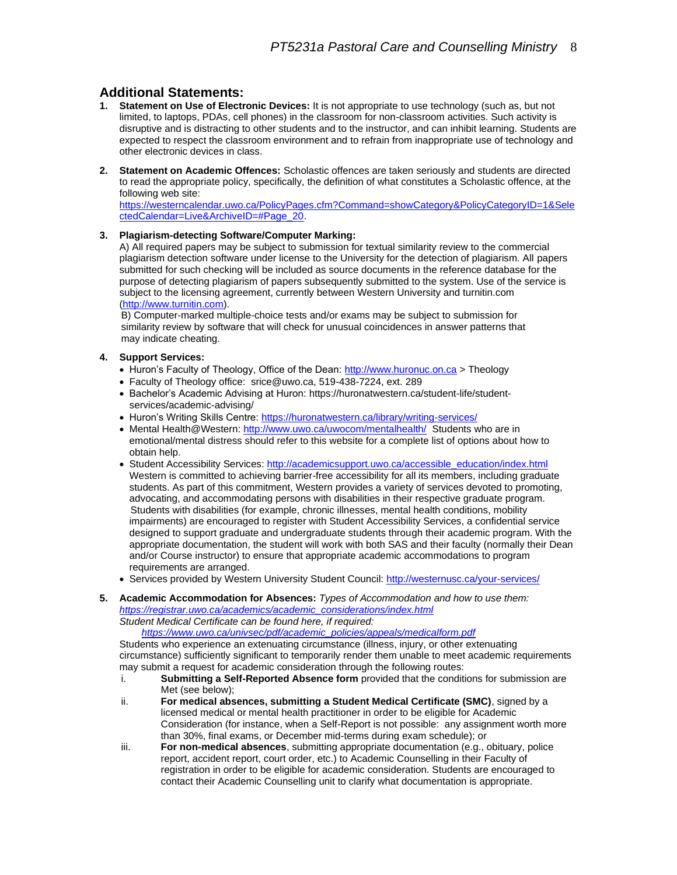# **Additional Statements:**

- **1. Statement on Use of Electronic Devices:** It is not appropriate to use technology (such as, but not limited, to laptops, PDAs, cell phones) in the classroom for non-classroom activities. Such activity is disruptive and is distracting to other students and to the instructor, and can inhibit learning. Students are expected to respect the classroom environment and to refrain from inappropriate use of technology and other electronic devices in class.
- **2. Statement on Academic Offences:** Scholastic offences are taken seriously and students are directed to read the appropriate policy, specifically, the definition of what constitutes a Scholastic offence, at the following web site:

[https://westerncalendar.uwo.ca/PolicyPages.cfm?Command=showCategory&PolicyCategoryID=1&Sele](https://westerncalendar.uwo.ca/PolicyPages.cfm?Command=showCategory&PolicyCategoryID=1&SelectedCalendar=Live&ArchiveID=#Page_20) [ctedCalendar=Live&ArchiveID=#Page\\_20.](https://westerncalendar.uwo.ca/PolicyPages.cfm?Command=showCategory&PolicyCategoryID=1&SelectedCalendar=Live&ArchiveID=#Page_20)

#### **3. Plagiarism-detecting Software/Computer Marking:**

A) All required papers may be subject to submission for textual similarity review to the commercial plagiarism detection software under license to the University for the detection of plagiarism. All papers submitted for such checking will be included as source documents in the reference database for the purpose of detecting plagiarism of papers subsequently submitted to the system. Use of the service is subject to the licensing agreement, currently between Western University and turnitin.com [\(http://www.turnitin.com\)](http://www.turnitin.com/).

B) Computer-marked multiple-choice tests and/or exams may be subject to submission for similarity review by software that will check for unusual coincidences in answer patterns that may indicate cheating.

#### **4. Support Services:**

- Huron's Faculty of Theology, Office of the Dean[: http://www.huronuc.on.ca](http://www.huronuc.on.ca/) > Theology
- Faculty of Theology office: srice@uwo.ca, 519-438-7224, ext. 289
- Bachelor's Academic Advising at Huron[: https://huronatwestern.ca/student-life/student](https://huronatwestern.ca/student-life/student-services/academic-advising/)[services/academic-advising/](https://huronatwestern.ca/student-life/student-services/academic-advising/)
- Huron's Writing Skills Centre[: https://huronatwestern.ca/library/writing-services/](https://huronatwestern.ca/library/writing-services/)
- Mental Health@Western:<http://www.uwo.ca/uwocom/mentalhealth/>Students who are in emotional/mental distress should refer to this website for a complete list of options about how to obtain help.
- Student Accessibility Services[: http://academicsupport.uwo.ca/accessible\\_education/index.html](http://academicsupport.uwo.ca/accessible_education/index.html) Western is committed to achieving barrier-free accessibility for all its members, including graduate students. As part of this commitment, Western provides a variety of services devoted to promoting, advocating, and accommodating persons with disabilities in their respective graduate program. Students with disabilities (for example, chronic illnesses, mental health conditions, mobility impairments) are encouraged to register with Student Accessibility Services, a confidential service designed to support graduate and undergraduate students through their academic program. With the appropriate documentation, the student will work with both SAS and their faculty (normally their Dean and/or Course instructor) to ensure that appropriate academic accommodations to program requirements are arranged.
- Services provided by Western University Student Council:<http://westernusc.ca/your-services/>
- **5. Academic Accommodation for Absences:** *Types of Accommodation and how to use them: [https://registrar.uwo.ca/academics/academic\\_considerations/index.html](https://registrar.uwo.ca/academics/academic_considerations/index.html) Student Medical Certificate can be found here, if required:*

 *[https://www.uwo.ca/univsec/pdf/academic\\_policies/appeals/medicalform.pdf](https://www.uwo.ca/univsec/pdf/academic_policies/appeals/medicalform.pdf)*

Students who experience an extenuating circumstance (illness, injury, or other extenuating circumstance) sufficiently significant to temporarily render them unable to meet academic requirements may submit a request for academic consideration through the following routes:

- i. **Submitting a Self-Reported Absence form** provided that the conditions for submission are Met (see below);
- ii. **For medical absences, submitting a Student Medical Certificate (SMC)**, signed by a licensed medical or mental health practitioner in order to be eligible for Academic Consideration (for instance, when a Self-Report is not possible: any assignment worth more than 30%, final exams, or December mid-terms during exam schedule); or
- iii. **For non-medical absences**, submitting appropriate documentation (e.g., obituary, police report, accident report, court order, etc.) to Academic Counselling in their Faculty of registration in order to be eligible for academic consideration. Students are encouraged to contact their Academic Counselling unit to clarify what documentation is appropriate.